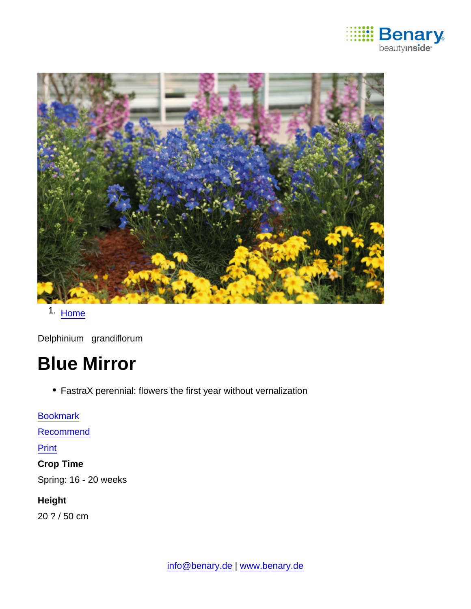

1. [Home](https://www.benary.com/)

Delphinium grandiflorum

# Blue Mirror

FastraX perennial: flowers the first year without vernalization

**[Bookmark](https://www.benary.com/flag/flag/product/5882?destination&token=RVA96kuD8ElMXdEWAWpgOKH2wLWhyn4A2uV0qCuqprc)** [Recommend](mailto:?subject=Benary Delphinium grandiflorum &body=https://www.benary.com/print/pdf/node/5882) Print Crop Time Spring: 16 - 20 weeks Height 20 ? / 50 cm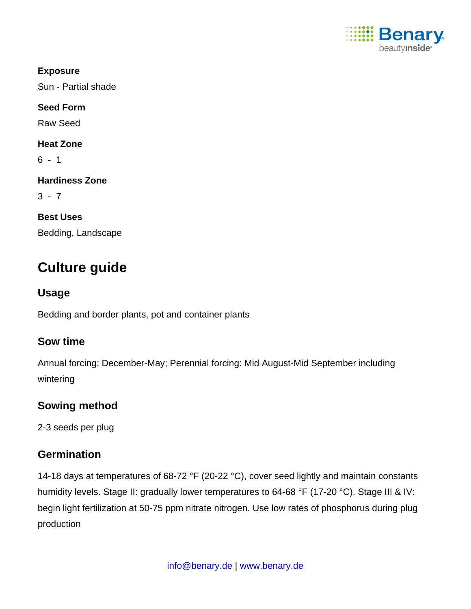

Exposure Sun - Partial shade Seed Form Raw Seed Heat Zone  $6 - 1$ Hardiness Zone  $3 - 7$ Best Uses Bedding, Landscape

# Culture guide

Usage

Bedding and border plants, pot and container plants

#### Sow time

Annual forcing: December-May; Perennial forcing: Mid August-Mid September including wintering

Sowing method

2-3 seeds per plug

## **Germination**

14-18 days at temperatures of 68-72 °F (20-22 °C), cover seed lightly and maintain constants humidity levels. Stage II: gradually lower temperatures to 64-68 °F (17-20 °C). Stage III & IV: begin light fertilization at 50-75 ppm nitrate nitrogen. Use low rates of phosphorus during plug production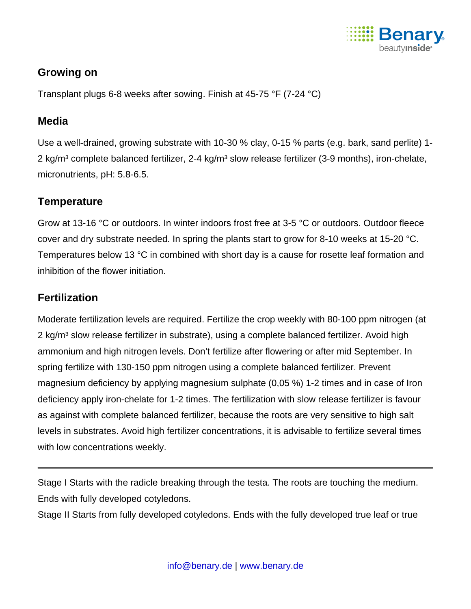

#### Growing on

Transplant plugs 6-8 weeks after sowing. Finish at 45-75 °F (7-24 °C)

#### **Media**

Use a well-drained, growing substrate with 10-30 % clay, 0-15 % parts (e.g. bark, sand perlite) 1- 2 kg/m<sup>3</sup> complete balanced fertilizer, 2-4 kg/m<sup>3</sup> slow release fertilizer (3-9 months), iron-chelate, micronutrients, pH: 5.8-6.5.

#### **Temperature**

Grow at 13-16 °C or outdoors. In winter indoors frost free at 3-5 °C or outdoors. Outdoor fleece cover and dry substrate needed. In spring the plants start to grow for 8-10 weeks at 15-20  $^{\circ}$ C. Temperatures below 13 °C in combined with short day is a cause for rosette leaf formation and inhibition of the flower initiation.

### **Fertilization**

Moderate fertilization levels are required. Fertilize the crop weekly with 80-100 ppm nitrogen (at 2 kg/m<sup>3</sup> slow release fertilizer in substrate), using a complete balanced fertilizer. Avoid high ammonium and high nitrogen levels. Don't fertilize after flowering or after mid September. In spring fertilize with 130-150 ppm nitrogen using a complete balanced fertilizer. Prevent magnesium deficiency by applying magnesium sulphate (0,05 %) 1-2 times and in case of Iron deficiency apply iron-chelate for 1-2 times. The fertilization with slow release fertilizer is favour as against with complete balanced fertilizer, because the roots are very sensitive to high salt levels in substrates. Avoid high fertilizer concentrations, it is advisable to fertilize several times with low concentrations weekly.

Stage I Starts with the radicle breaking through the testa. The roots are touching the medium. Ends with fully developed cotyledons.

Stage II Starts from fully developed cotyledons. Ends with the fully developed true leaf or true